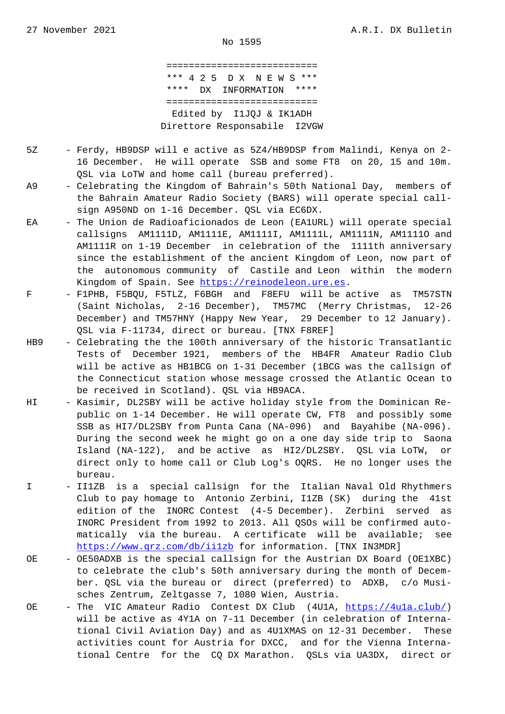=========================== \*\*\* 4 2 5 D X N E W S \*\*\* \*\*\*\* DX INFORMATION \*\*\*\* =========================== Edited by I1JQJ & IK1ADH Direttore Responsabile I2VGW

- 5Z Ferdy, HB9DSP will e active as 5Z4/HB9DSP from Malindi, Kenya on 2- 16 December. He will operate SSB and some FT8 on 20, 15 and 10m. QSL via LoTW and home call (bureau preferred).
- A9 Celebrating the Kingdom of Bahrain's 50th National Day, members of the Bahrain Amateur Radio Society (BARS) will operate special call sign A950ND on 1-16 December. QSL via EC6DX.
- EA The Union de Radioaficionados de Leon (EA1URL) will operate special callsigns AM1111D, AM1111E, AM1111I, AM1111L, AM1111N, AM1111O and AM1111R on 1-19 December in celebration of the 1111th anniversary since the establishment of the ancient Kingdom of Leon, now part of the autonomous community of Castile and Leon within the modern Kingdom of Spain. See https://reinodeleon.ure.es.
- F F1PHB, F5BQU, F5TLZ, F6BGH and F8EFU will be active as TM57STN (Saint Nicholas, 2-16 December), TM57MC (Merry Christmas, 12-26 December) and TM57HNY (Happy New Year, 29 December to 12 January). QSL via F-11734, direc[t or bureau. \[TNX F8REF\]](https://reinodeleon.ure.es)
- HB9 Celebrating the the 100th anniversary of the historic Transatlantic Tests of December 1921, members of the HB4FR Amateur Radio Club will be active as HB1BCG on 1-31 December (1BCG was the callsign of the Connecticut station whose message crossed the Atlantic Ocean to be received in Scotland). QSL via HB9ACA.
- HI Kasimir, DL2SBY will be active holiday style from the Dominican Re public on 1-14 December. He will operate CW, FT8 and possibly some SSB as HI7/DL2SBY from Punta Cana (NA-096) and Bayahibe (NA-096). During the second week he might go on a one day side trip to Saona Island (NA-122), and be active as HI2/DL2SBY. QSL via LoTW, or direct only to home call or Club Log's OQRS. He no longer uses the bureau.
- I II1ZB is a special callsign for the Italian Naval Old Rhythmers Club to pay homage to Antonio Zerbini, I1ZB (SK) during the 41st edition of the INORC Contest (4-5 December). Zerbini served as INORC President from 1992 to 2013. All QSOs will be confirmed auto matically via the bureau. A certificate will be available; see https://www.qrz.com/db/ii1zb for information. [TNX IN3MDR]
- OE OE50ADXB is the special callsign for the Austrian DX Board (OE1XBC) to celebrate the club's 50th anniversary during the month of Decem [ber. QSL via the bureau or](https://www.qrz.com/db/ii1zb) direct (preferred) to ADXB, c/o Musi sches Zentrum, Zeltgasse 7, 1080 Wien, Austria.
- OE The VIC Amateur Radio Contest DX Club (4U1A, https://4u1a.club/) will be active as 4Y1A on 7-11 December (in celebration of Interna tional Civil Aviation Day) and as 4U1XMAS on 12-31 December. These activities count for Austria for DXCC, and for [the Vienna Interna](https://4u1a.club/) tional Centre for the CQ DX Marathon. QSLs via UA3DX, direct or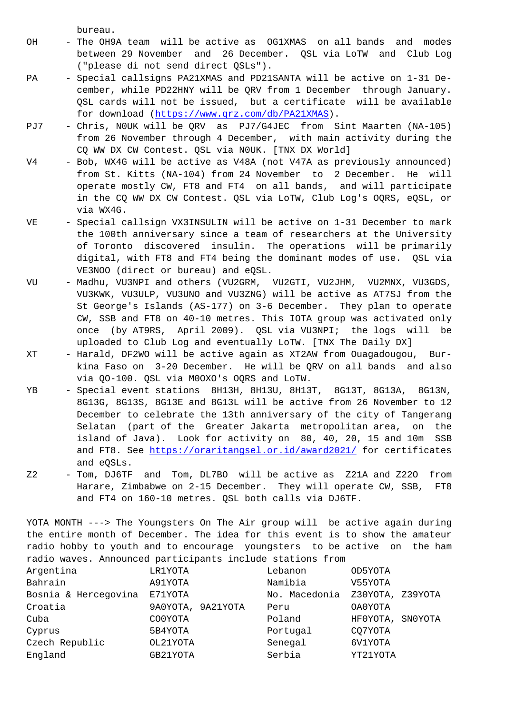- OH The OH9A team will be active as OG1XMAS on all bands and modes between 29 November and 26 December. QSL via LoTW and Club Log ("please di not send direct QSLs").
- PA Special callsigns PA21XMAS and PD21SANTA will be active on 1-31 De cember, while PD22HNY will be QRV from 1 December through January. QSL cards will not be issued, but a certificate will be available for download (https://www.qrz.com/db/PA21XMAS).
- PJ7 Chris, N0UK will be QRV as PJ7/G4JEC from Sint Maarten (NA-105) from 26 November through 4 December, with main activity during the CQ WW DX CW Co[ntest. QSL via N0UK. \[TNX DX Wor](https://www.qrz.com/db/PA21XMAS)ld]
- V4 Bob, WX4G will be active as V48A (not V47A as previously announced) from St. Kitts (NA-104) from 24 November to 2 December. He will operate mostly CW, FT8 and FT4 on all bands, and will participate in the CQ WW DX CW Contest. QSL via LoTW, Club Log's OQRS, eQSL, or via WX4G.
- VE Special callsign VX3INSULIN will be active on 1-31 December to mark the 100th anniversary since a team of researchers at the University of Toronto discovered insulin. The operations will be primarily digital, with FT8 and FT4 being the dominant modes of use. QSL via VE3NOO (direct or bureau) and eQSL.
- VU Madhu, VU3NPI and others (VU2GRM, VU2GTI, VU2JHM, VU2MNX, VU3GDS, VU3KWK, VU3ULP, VU3UNO and VU3ZNG) will be active as AT7SJ from the St George's Islands (AS-177) on 3-6 December. They plan to operate CW, SSB and FT8 on 40-10 metres. This IOTA group was activated only once (by AT9RS, April 2009). QSL via VU3NPI; the logs will be uploaded to Club Log and eventually LoTW. [TNX The Daily DX]
- XT Harald, DF2WO will be active again as XT2AW from Ouagadougou, Bur kina Faso on 3-20 December. He will be QRV on all bands and also via QO-100. QSL via M0OXO's OQRS and LoTW.
- YB Special event stations 8H13H, 8H13U, 8H13T, 8G13T, 8G13A, 8G13N, 8G13G, 8G13S, 8G13E and 8G13L will be active from 26 November to 12 December to celebrate the 13th anniversary of the city of Tangerang Selatan (part of the Greater Jakarta metropolitan area, on the island of Java). Look for activity on 80, 40, 20, 15 and 10m SSB and FT8. See https://oraritangsel.or.id/award2021/ for certificates and eQSLs.
- Z2 Tom, DJ6TF and Tom, DL7BO will be active as Z21A and Z22O from Harare, Zimb[abwe on 2-15 December. They will opera](https://oraritangsel.or.id/award2021/)te CW, SSB, FT8 and FT4 on 160-10 metres. QSL both calls via DJ6TF.

YOTA MONTH ---> The Youngsters On The Air group will be active again during the entire month of December. The idea for this event is to show the amateur radio hobby to youth and to encourage youngsters to be active on the ham radio waves. Announced participants include stations from

| Argentina            | LR1YOTA           | Lebanon       | OD5YOTA          |
|----------------------|-------------------|---------------|------------------|
| Bahrain              | A91YOTA           | Namibia       | V55YOTA          |
| Bosnia & Hercegovina | E71YOTA           | No. Macedonia | Z30YOTA, Z39YOTA |
| Croatia              | 9A0YOTA, 9A21YOTA | Peru          | OA0YOTA          |
| Cuba                 | CO0YOTA           | Poland        | HF0YOTA, SN0YOTA |
| Cyprus               | 5B4YOTA           | Portugal      | CO7YOTA          |
| Czech Republic       | OL21YOTA          | Senegal       | 6V1YOTA          |
| England              | GB21YOTA          | Serbia        | YT21YOTA         |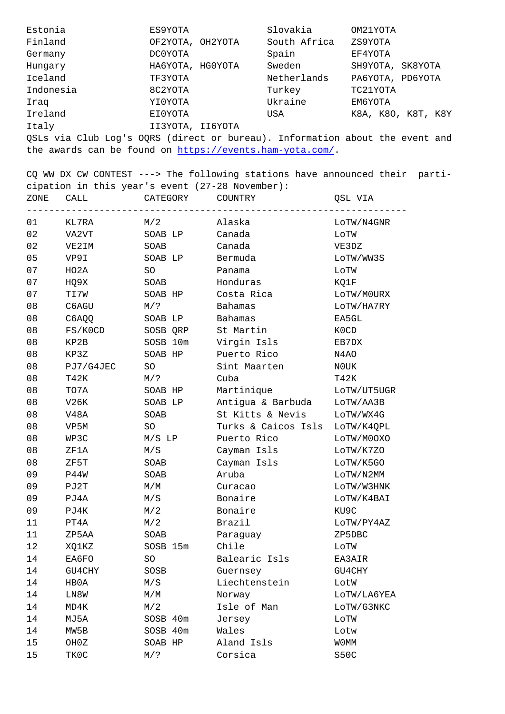| r 1111 anu                                                                   | UPZIUIA, UNZIUIA | buutii Allitta | ZOJIUIA            |
|------------------------------------------------------------------------------|------------------|----------------|--------------------|
| Germany                                                                      | DC0YOTA          | Spain          | EF4YOTA            |
| Hungary                                                                      | HA6YOTA, HG0YOTA | Sweden         | SH9YOTA, SK8YOTA   |
| Iceland                                                                      | TF3YOTA          | Netherlands    | PA6YOTA, PD6YOTA   |
| Indonesia                                                                    | 8C2YOTA          | Turkey         | TC21YOTA           |
| Iraq                                                                         | YI0YOTA          | Ukraine        | EM6YOTA            |
| Ireland                                                                      | EI0YOTA          | USA            | K8A, K8O, K8T, K8Y |
| Italy                                                                        | II3YOTA, II6YOTA |                |                    |
| QSLs via Club Log's OQRS (direct or bureau). Information about the event and |                  |                |                    |

the awards can be found on https://events.ham-yota.com/.

CQ WW DX CW CONTEST ---> The following stations have announced their participation in this year's event (27-28 November): ZONE CALL CATEG[ORY COUNTRY](https://events.ham-yota.com/) QSL VIA

| 01 | KL7RA     | M/2      | Alaska              | LOTW/N4GNR  |
|----|-----------|----------|---------------------|-------------|
| 02 | VA2VT     | SOAB LP  | Canada              | LOTW        |
| 02 | VE2IM     | SOAB     | Canada              | VE3DZ       |
| 05 | VP9I      | SOAB LP  | Bermuda             | LOTW/WW3S   |
| 07 | HO2A      | SO       | Panama              | LOTW        |
| 07 | HQ9X      | SOAB     | Honduras            | KQ1F        |
| 07 | TI7W      | SOAB HP  | Costa Rica          | LOTW/M0URX  |
| 08 | C6AGU     | M/?      | <b>Bahamas</b>      | LOTW/HA7RY  |
| 08 | C6AQQ     | SOAB LP  | <b>Bahamas</b>      | EA5GL       |
| 08 | FS/K0CD   | SOSB QRP | St Martin           | K0CD        |
| 08 | KP2B      | SOSB 10m | Virgin Isls         | EB7DX       |
| 08 | KP3Z      | SOAB HP  | Puerto Rico         | N4AO        |
| 08 | PJ7/G4JEC | SO       | Sint Maarten        | N0UK        |
| 08 | T42K      | $M/$ ?   | Cuba                | T42K        |
| 08 | TO7A      | SOAB HP  | Martinique          | LOTW/UT5UGR |
| 08 | V26K      | SOAB LP  | Antigua & Barbuda   | LOTW/AA3B   |
| 08 | V48A      | SOAB     | St Kitts & Nevis    | LoTW/WX4G   |
| 08 | VP5M      | SO       | Turks & Caicos Isls | LOTW/K4QPL  |
| 08 | WP3C      | $M/S$ LP | Puerto Rico         | LOTW/M00X0  |
| 08 | ZF1A      | M/S      | Cayman Isls         | LoTW/K7ZO   |
| 08 | ZF5T      | SOAB     | Cayman Isls         | LoTW/K5GO   |
| 09 | P44W      | SOAB     | Aruba               | LOTW/N2MM   |
| 09 | PJ2T      | M/M      | Curacao             | LOTW/W3HNK  |
| 09 | PJ4A      | M/S      | Bonaire             | LOTW/K4BAI  |
| 09 | PJ4K      | M/2      | Bonaire             | KU9C        |
| 11 | PT4A      | M/2      | Brazil              | LOTW/PY4AZ  |
| 11 | ZP5AA     | SOAB     | Paraguay            | ZP5DBC      |
| 12 | XQ1KZ     | SOSB 15m | Chile               | LOTW        |
| 14 | EA6FO     | SO       | Balearic Isls       | EA3AIR      |
| 14 | GU4CHY    | SOSB     | Guernsey            | GU4CHY      |
| 14 | HBOA      | M/S      | Liechtenstein       | LotW        |
| 14 | LN8W      | M/M      | Norway              | LOTW/LA6YEA |
| 14 | MD4K      | M/2      | Isle of Man         | LOTW/G3NKC  |
| 14 | MJ5A      | SOSB 40m | Jersey              | LOTW        |
| 14 | MW5B      | SOSB 40m | Wales               | Lotw        |
| 15 | OH0Z      | SOAB HP  | Aland Isls          | <b>WOMM</b> |
| 15 | TK0C      | $M/$ ?   | Corsica             | S50C        |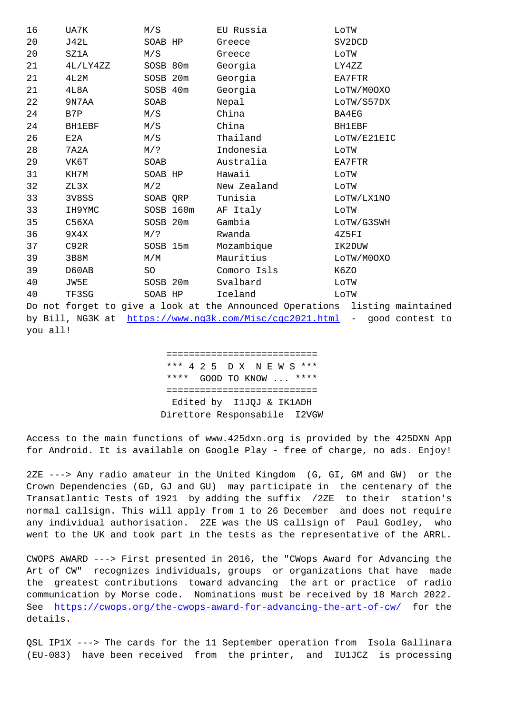| Ζ∪ | ひさムロ          | nu dava   | areece                                                    | <b>DA RDCD</b>                                                              |
|----|---------------|-----------|-----------------------------------------------------------|-----------------------------------------------------------------------------|
| 20 | SZ1A          | M/S       | Greece                                                    | LOTW                                                                        |
| 21 | 4L/LY4ZZ      | SOSB 80m  | Georgia                                                   | LY4ZZ                                                                       |
| 21 | 4L2M          | SOSB 20m  | Georgia                                                   | EA7FTR                                                                      |
| 21 | 4L8A          | SOSB 40m  | Georgia                                                   | LOTW/M0OXO                                                                  |
| 22 | 9N7AA         | SOAB      | Nepal                                                     | LOTW/S57DX                                                                  |
| 24 | B7P           | M/S       | China                                                     | BA4EG                                                                       |
| 24 | <b>BH1EBF</b> | M/S       | China                                                     | <b>BH1EBF</b>                                                               |
| 26 | E2A           | M/S       | Thailand                                                  | LOTW/E21EIC                                                                 |
| 28 | 7A2A          | $M/$ ?    | Indonesia                                                 | LOTW                                                                        |
| 29 | VK6T          | SOAB      | Australia                                                 | EA7FTR                                                                      |
| 31 | KH7M          | SOAB HP   | Hawaii                                                    | LOTW                                                                        |
| 32 | ZL3X          | M/2       | New Zealand                                               | LOTW                                                                        |
| 33 | 3V8SS         | SOAB QRP  | Tunisia                                                   | LOTW/LX1NO                                                                  |
| 33 | IH9YMC        | SOSB 160m | AF Italy                                                  | LOTW                                                                        |
| 35 | C56XA         | SOSB 20m  | Gambia                                                    | LOTW/G3SWH                                                                  |
| 36 | 9X4X          | M/?       | Rwanda                                                    | 4Z5FI                                                                       |
| 37 | C92R          | SOSB 15m  | Mozambique                                                | IK2DUW                                                                      |
| 39 | 3B8M          | M/M       | Mauritius                                                 | LOTW/M0OXO                                                                  |
| 39 | D60AB         | SO        | Comoro Isls                                               | K6ZO                                                                        |
| 40 | JW5E          | SOSB 20m  | Svalbard                                                  | LOTW                                                                        |
| 40 | TF3SG         | SOAB HP   | Iceland                                                   | LOTW                                                                        |
|    |               |           |                                                           | Do not forget to give a look at the Announced Operations listing maintained |
|    |               |           | by Bill, NG3K at https://www.ng3k.com/Misc/cqc2021.html - | good contest to                                                             |
|    |               |           |                                                           |                                                                             |

you all!

 [===========================](https://www.ng3k.com/Misc/cqc2021.html) \*\*\* 4 2 5 D X N E W S \*\*\* \*\*\*\* GOOD TO KNOW ... \*\*\*\* =========================== Edited by I1JQJ & IK1ADH Direttore Responsabile I2VGW

Access to the main functions of www.425dxn.org is provided by the 425DXN App for Android. It is available on Google Play - free of charge, no ads. Enjoy!

2ZE ---> Any radio amateur in the United Kingdom (G, GI, GM and GW) or the Crown Dependencies (GD, GJ and GU) may participate in the centenary of the Transatlantic Tests of 1921 by adding the suffix /2ZE to their station's normal callsign. This will apply from 1 to 26 December and does not require any individual authorisation. 2ZE was the US callsign of Paul Godley, who went to the UK and took part in the tests as the representative of the ARRL.

CWOPS AWARD ---> First presented in 2016, the "CWops Award for Advancing the Art of CW" recognizes individuals, groups or organizations that have made the greatest contributions toward advancing the art or practice of radio communication by Morse code. Nominations must be received by 18 March 2022. See https://cwops.org/the-cwops-award-for-advancing-the-art-of-cw/ for the details.

QSL [IP1X ---> The cards for the 11 September operation from Isola](https://cwops.org/the-cwops-award-for-advancing-the-art-of-cw/) Gallinara (EU-083) have been received from the printer, and IU1JCZ is processing